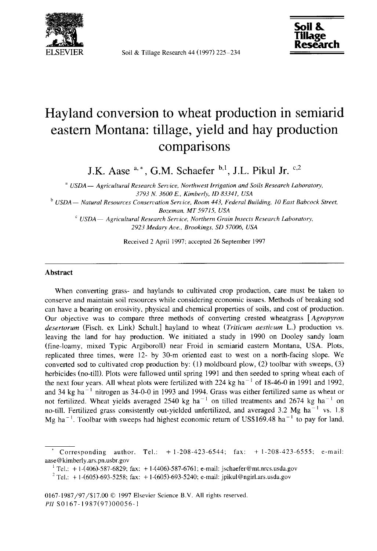

Soil & Tillage Research 44 (1997) 225-234



# Hayland conversion to wheat production in semiarid eastern Montana: tillage, yield and hay production comparisons

J.K. Aase  $a^*$ , G.M. Schaefer  $b,1$ , J.L. Pikul Jr.  $c,2$ 

*USDA— Agricultural Research Service, Northwest Irrigation and Soils Research Laboratory, 3793 N. 3600 E., Kimberly, ID 83341, USA*

b *USDA— Natural Resources Conservation Service, Room 443, Federal Building, 10 East Babcock Street, Bozeman, MT 59715, USA*

*USDA— Agricultural Research Service, Northern Grain Insects Research Laborator y, 2923 Medary Ave., Brookings, SD 57006, USA*

Received 2 April 1997; accepted 26 September 1997

#### **Abstract**

When converting grass- and haylands to cultivated crop production, care must be taken to conserve and maintain soil resources while considering economic issues. Methods of breaking sod can have a bearing on erosivity, physical and chemical properties of soils, and cost of production. Our objective was to compare three methods of converting crested wheatgrass *[Agropyron desertorum* (Fisch. ex Link) Schuh.] hayland to wheat *(Triticum aestiuum* L.) production vs. leaving the land for hay production. We initiated a study in 1990 on Dooley sandy loam (fine-loamy, mixed Typic Argiboroll) near Froid in semiarid eastern Montana, USA. Plots, replicated three times, were 12- by 30-m oriented east to west on a north-facing slope. We converted sod to cultivated crop production by:  $(1)$  moldboard plow,  $(2)$  toolbar with sweeps,  $(3)$ herbicides (no-till). Plots were fallowed until spring 1991 and then seeded to spring wheat each of the next four years. All wheat plots were fertilized with 224 kg ha<sup> $-1$ </sup> of 18-46-0 in 1991 and 1992, and 34 kg ha<sup> $-1$ </sup> nitrogen as 34-0-0 in 1993 and 1994. Grass was either fertilized same as wheat or not fertilized. Wheat yields averaged 2540 kg ha<sup> $-1$ </sup> on tilled treatments and 2674 kg ha<sup> $-1$ </sup> on no-till. Fertilized grass consistently out-yielded unfertilized, and averaged 3.2 Mg ha<sup> $-1$ </sup> vs. 1.8 Mg ha<sup>-1</sup>. Toolbar with sweeps had highest economic return of US\$169.48 ha<sup>-1</sup> to pay for land,

Corresponding author. Tel.:  $+ 1-208-423-6544$ ;  $\text{fax:} + 1-208-423-6555$ ; e-mail: aase@kimberly.ars.pn.usbr.gov

 $T$ el.: +1-(406)-587-6829; fax: +1-(406)-587-6761; e-mail: jschaefer@mt.nrcs.usda.gov

<sup>&</sup>lt;sup>2</sup> Tel.: + 1-(605)-693-5258; fax: + 1-(605)-693-5240; e-mail: jpikul@ngirl.ars.usda.gov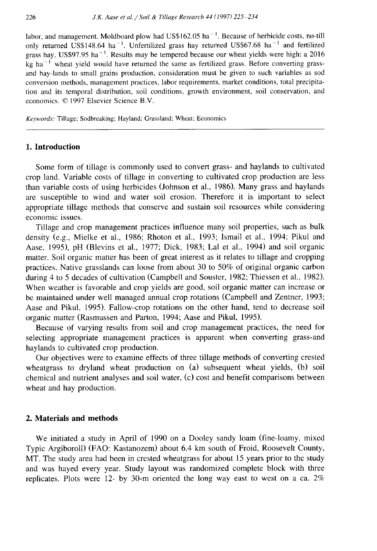labor, and management. Moldboard plow had US\$162.05 ha<sup> $-1$ </sup>. Because of herbicide costs, no-till only returned US\$148.64 ha<sup>-1</sup>. Unfertilized grass hay returned US\$67.68 ha<sup>-1</sup> and fertilized grass hay, US\$97.95 ha<sup> $-1$ </sup>. Results may be tempered because our wheat yields were high: a 2016  $kg$  ha<sup> $-1$ </sup> wheat yield would have returned the same as fertilized grass. Before converting grassand hay-lands to small grains production, consideration must be given to such variables as sod conversion methods, management practices, labor requirements, market conditions, total precipitation and its temporal distribution, soil conditions, growth environment, soil conservation, and economics. © 1997 Elsevier Science B.V.

*Keywords:* Tillage; Sodbreaking; Hayland; Grassland; Wheat; Economics

#### **1. Introduction**

Some form of tillage is commonly used to convert grass- and haylands to cultivated crop land. Variable costs of tillage in converting to cultivated crop production are less than variable costs of using herbicides (Johnson et al., 1986). Many grass and haylands are susceptible to wind and water soil erosion. Therefore it is important to select appropriate tillage methods that conserve and sustain soil resources while considering economic issues.

Tillage and crop management practices influence many soil properties, such as bulk density (e.g., Mielke et al., 1986; Rhoton et al., 1993; Ismail et al., 1994; Pikul and Aase, 1995), pH (Blevins et al., 1977; Dick, 1983; Lal et al., 1994) and soil organic matter. Soil organic matter has been of great interest as it relates to tillage and cropping practices. Native grasslands can loose from about 30 to 50% of original organic carbon during 4 to 5 decades of cultivation (Campbell and Souster, 1982; Thiessen et al., 1982). When weather is favorable and crop yields are good, soil organic matter can increase or be maintained under well managed annual crop rotations (Campbell and Zentner, 1993; Aase and Pikul, 1995). Fallow-crop rotations on the other hand, tend to decrease soil organic matter (Rasmussen and Parton, 1994; Aase and Pikul, 1995).

Because of varying results from soil and crop management practices, the need for selecting appropriate management practices is apparent when converting grass-and haylands to cultivated crop production.

Our objectives were to examine effects of three tillage methods of converting crested wheatgrass to dryland wheat production on (a) subsequent wheat yields, (b) soil chemical and nutrient analyses and soil water, (c) cost and benefit comparisons between wheat and hay production.

### **2. Materials and methods**

We initiated a study in April of 1990 on a Dooley sandy loam (fine-loamy, mixed Typic Argiboroll) (FAO: Kastanozem) about 6.4 km south of Froid, Roosevelt County, MT. The study area had been in crested wheatgrass for about 15 years prior to the study and was hayed every year. Study layout was randomized complete block with three replicates. Plots were 12- by 30-m oriented the long way east to west on a ca. 2%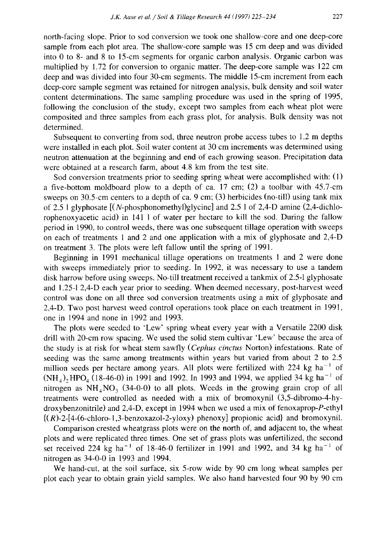north-facing slope. Prior to sod conversion we took one shallow-core and one deep-core sample from each plot area. The shallow-core sample was 15 cm deep and was divided into 0 to 8- and 8 to 15-cm segments for organic carbon analysis. Organic carbon was multiplied by 1.72 for conversion to organic matter. The deep-core sample was 122 cm deep and was divided into four 30-cm segments. The middle 15-cm increment from each deep-core sample segment was retained for nitrogen analysis, bulk density and soil water content determinations. The same sampling procedure was used in the spring of 1995, following the conclusion of the study, except two samples from each wheat plot were composited and three samples from each grass plot, for analysis. Bulk density was not determined.

Subsequent to converting from sod, three neutron probe access tubes to 1.2 m depths were installed in each plot. Soil water content at 30 cm increments was determined using neutron attenuation at the beginning and end of each growing season. Precipitation data were obtained at a research farm, about 4.8 km from the test site.

Sod conversion treatments prior to seeding spring wheat were accomplished with: (1) a five-bottom moldboard plow to a depth of ca. 17 cm; (2) a toolbar with 45.7-cm sweeps on 30.5-cm centers to a depth of ca. 9 cm; (3) herbicides (no-till) using tank mix of 2.5 l glyphosate  $[(N\text{-phosphonometry}]\text{glycine}]$  and 2.5 l of 2,4-D amine (2,4-dichlorophenoxyacetic acid) in 141 1 of water per hectare to kill the sod. During the fallow period in 1990, to control weeds, there was one subsequent tillage operation with sweeps on each of treatments 1 and 2 and one application with a mix of glyphosate and 2,4-D on treatment 3. The plots were left fallow until the spring of 1991.

Beginning in 1991 mechanical tillage operations on treatments 1 and 2 were done with sweeps immediately prior to seeding. In 1992, it was necessary to use a tandem disk harrow before using sweeps. No-till treatment received a tankmix of 2.5-1 glyphosate and 1.25-1 2,4-D each year prior to seeding. When deemed necessary, post-harvest weed control was done on all three sod conversion treatments using a mix of glyphosate and 2,4-D. Two post harvest weed control operations took place on each treatment in 1991, one in 1994 and none in 1992 and 1993.

The plots were seeded to 'Lew' spring wheat every year with a Versatile 2200 disk drill with 20-cm row spacing. We used the solid stem cultivar 'Lew' because the area of the study is at risk for wheat stem sawfly *(Cephus cinctus* Norton) infestations. Rate of seeding was the same among treatments within years but varied from about 2 to 2.5 million seeds per hectare among years. All plots were fertilized with  $224 \text{ kg ha}^{-1}$  of  $(NH_4)$ , HPO<sub>4</sub> (18-46-0) in 1991 and 1992. In 1993 and 1994, we applied 34 kg ha<sup>-1</sup> of nitrogen as  $NH_4NO_3$  (34-0-0) to all plots. Weeds in the growing grain crop of all treatments were controlled as needed with a mix of bromoxynil (3,5-dibromo-4-hydroxybenzonitrile) and 2,4-D, except in 1994 when we used a mix of fenoxaprop-P-ethyl  $\{(R)-2-[4-(6-chloro-1,3-benzoxazol-2-yloxy) phenoxy]$  propionic acid} and bromoxynil.

Comparison crested wheatgrass plots were on the north of, and adjacent to, the wheat plots and were replicated three times. One set of grass plots was unfertilized, the second set received 224 kg ha<sup>-1</sup> of 18-46-0 fertilizer in 1991 and 1992, and 34 kg ha<sup>-1</sup> of nitrogen as 34-0-0 in 1993 and 1994.

We hand-cut, at the soil surface, six 5-row wide by 90 cm long wheat samples per plot each year to obtain grain yield samples. We also hand harvested four 90 by 90 cm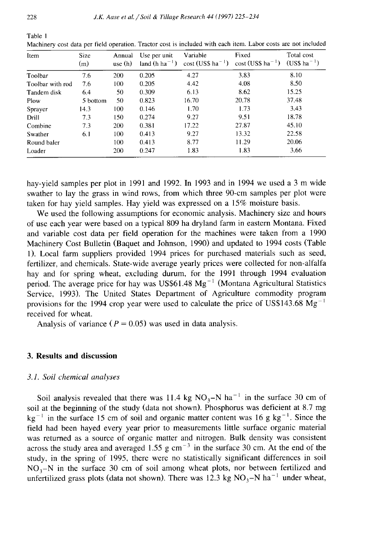| Item             | <b>Size</b><br>(m) | Annual<br>use(h) | Use per unit<br>land $(h ha^{-1})$ | Variable<br>$cost$ (US\$ ha <sup>-1</sup> ) | Fixed<br>$\cos t$ (US\$ ha <sup>-1</sup> ) | Total cost<br>$(US$ ha^{-1})$ |
|------------------|--------------------|------------------|------------------------------------|---------------------------------------------|--------------------------------------------|-------------------------------|
| Toolbar          | 7.6                | 200              | 0.205                              | 4.27                                        | 3.83                                       | 8.10                          |
| Toolbar with rod | 7.6                | 100              | 0.205                              | 4.42                                        | 4.08                                       | 8.50                          |
| Tandem disk      | 6.4                | 50               | 0.309                              | 6.13                                        | 8.62                                       | 15.25                         |
| Plow             | 5 bottom           | 50               | 0.823                              | 16.70                                       | 20.78                                      | 37.48                         |
| Sprayer          | 14.3               | 100              | 0.146                              | 1.70                                        | 1.73                                       | 3.43                          |
| Drill            | 7.3                | 150              | 0.274                              | 9.27                                        | 9.51                                       | 18.78                         |
| Combine          | 7.3                | 200              | 0.381                              | 17.22                                       | 27.87                                      | 45.10                         |
| Swather          | 6.1                | 100              | 0.413                              | 9.27                                        | 13.32                                      | 22.58                         |
| Round baler      |                    | 100              | 0.413                              | 8.77                                        | 11.29                                      | 20.06                         |
| Loader           |                    | 200              | 0.247                              | 1.83                                        | 1.83                                       | 3.66                          |

Machinery cost data per field operation. Tractor cost is included with each item. Labor costs are not included

hay-yield samples per plot in 1991 and 1992. In 1993 and in 1994 we used a 3 m wide swather to lay the grass in wind rows, from which three 90-cm samples per plot were taken for hay yield samples. Hay yield was expressed on a 15% moisture basis.

We used the following assumptions for economic analysis. Machinery size and hours of use each year were based on a typical 809 ha dryland farm in eastern Montana. Fixed and variable cost data per field operation for the machines were taken from a 1990 Machinery Cost Bulletin (Baguet and Johnson, 1990) and updated to 1994 costs (Table 1). Local farm suppliers provided 1994 prices for purchased materials such as seed, fertilizer, and chemicals. State-wide average yearly prices were collected for non-alfalfa hay and for spring wheat, excluding durum, for the 1991 through 1994 evaluation period. The average price for hay was US\$61.48  $Mg^{-1}$  (Montana Agricultural Statistics Service, 1993). The United States Department of Agriculture commodity program provisions for the 1994 crop year were used to calculate the price of US\$143.68  $Mg^{-1}$ received for wheat.

Analysis of variance ( $P = 0.05$ ) was used in data analysis.

## **3. Results and discussion**

## *3.1. Soil chemical analyses*

Soil analysis revealed that there was 11.4 kg  $NO<sub>3</sub>-N$  ha<sup>-1</sup> in the surface 30 cm of soil at the beginning of the study (data not shown). Phosphorus was deficient at 8.7 mg  $kg^{-1}$  in the surface 15 cm of soil and organic matter content was 16 g kg<sup>-1</sup>. Since the field had been hayed every year prior to measurements little surface organic material was returned as a source of organic matter and nitrogen. Bulk density was consistent across the study area and averaged 1.55 g cm<sup> $-3$ </sup> in the surface 30 cm. At the end of the study, in the spring of 1995, there were no statistically significant differences in soil  $NO<sub>3</sub>-N$  in the surface 30 cm of soil among wheat plots, nor between fertilized and unfertilized grass plots (data not shown). There was 12.3 kg NO<sub>3</sub>-N ha<sup>-1</sup> under wheat,

Table 1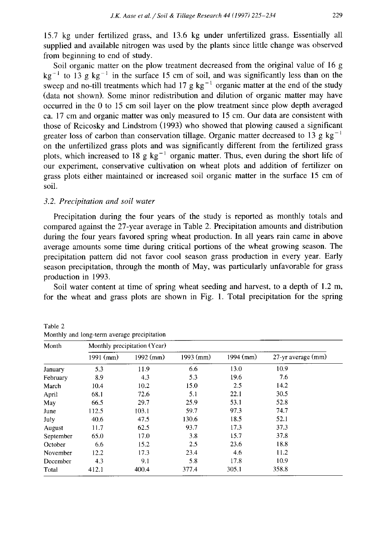15.7 kg under fertilized grass, and 13.6 kg under unfertilized grass. Essentially all supplied and available nitrogen was used by the plants since little change was observed from beginning to end of study.

Soil organic matter on the plow treatment decreased from the original value of 16 g  $kg^{-1}$  to 13 g kg<sup>-1</sup> in the surface 15 cm of soil, and was significantly less than on the sweep and no-till treatments which had 17 g  $kg^{-1}$  organic matter at the end of the study (data not shown). Some minor redistribution and dilution of organic matter may have occurred in the 0 to 15 cm soil layer on the plow treatment since plow depth averaged ca. 17 cm and organic matter was only measured to 15 cm. Our data are consistent with those of Reicosky and Lindstrom (1993) who showed that plowing caused a significant greater loss of carbon than conservation tillage. Organic matter decreased to 13 g kg<sup>-1</sup> on the unfertilized grass plots and was significantly different from the fertilized grass plots, which increased to 18 g  $kg^{-1}$  organic matter. Thus, even during the short life of our experiment, conservative cultivation on wheat plots and addition of fertilizer on grass plots either maintained or increased soil organic matter in the surface 15 cm of soil.

#### *3.2. Precipitation and soil water*

Precipitation during the four years of the study is reported as monthly totals and compared against the 27-year average in Table 2. Precipitation amounts and distribution during the four years favored spring wheat production. In all years rain came in above average amounts some time during critical portions of the wheat growing season. The precipitation pattern did not favor cool season grass production in every year. Early season precipitation, through the month of May, was particularly unfavorable for grass production in 1993.

Soil water content at time of spring wheat seeding and harvest, to a depth of 1.2 m, for the wheat and grass plots are shown in Fig. 1. Total precipitation for the spring

| Month     | Monthly precipitation (Year) |             |             |             |                    |  |  |  |  |
|-----------|------------------------------|-------------|-------------|-------------|--------------------|--|--|--|--|
|           | $1991$ (mm)                  | $1992$ (mm) | $1993$ (mm) | $1994$ (mm) | 27-yr average (mm) |  |  |  |  |
| January   | 5.3                          | 11.9        | 6.6         | 13.0        | 10.9               |  |  |  |  |
| February  | 8.9                          | 4.3         | 5.3         | 19.6        | 7.6                |  |  |  |  |
| March     | 10.4                         | 10.2        | 15.0        | 2.5         | 14.2               |  |  |  |  |
| April     | 68.1                         | 72.6        | 5.1         | 22.1        | 30.5               |  |  |  |  |
| May       | 66.5                         | 29.7        | 25.9        | 53.1        | 52.8               |  |  |  |  |
| June      | 112.5                        | 103.1       | 59.7        | 97.3        | 74.7               |  |  |  |  |
| July      | 40.6                         | 47.5        | 130.6       | 18.5        | 52.1               |  |  |  |  |
| August    | 11.7                         | 62.5        | 93.7        | 17.3        | 37.3               |  |  |  |  |
| September | 65.0                         | 17.0        | 3.8         | 15.7        | 37.8               |  |  |  |  |
| October   | 6.6                          | 15.2        | 2.5         | 23.6        | 18.8               |  |  |  |  |
| November  | 12.2                         | 17.3        | 23.4        | 4.6         | 11.2               |  |  |  |  |
| December  | 4.3                          | 9.1         | 5.8         | 17.8        | 10.9               |  |  |  |  |
| Total     | 412.1                        | 400.4       | 377.4       | 305.1       | 358.8              |  |  |  |  |

Table 2 Monthly and long-term average precipitation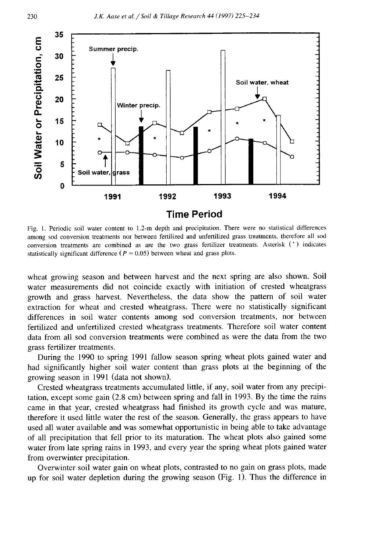

Fig. 1. Periodic soil water content to 1.2-m depth and precipitation. There were no statistical differences among sod conversion treatments nor between fertilized and unfertilized grass treatments, therefore all sod conversion treatments are combined as are the two grass fertilizer treatments. Asterisk (\*) indicates statistically significant difference ( $P = 0.05$ ) between wheat and grass plots.

wheat growing season and between harvest and the next spring are also shown. Soil water measurements did not coincide exactly with initiation of crested wheatgrass growth and grass harvest. Nevertheless, the data show the pattern of soil water extraction for wheat and crested wheatgrass. There were no statistically significant differences in soil water contents among sod conversion treatments, nor between fertilized and unfertilized crested wheatgrass treatments. Therefore soil water content data from all sod conversion treatments were combined as were the data from the two grass fertilizer treatments.

During the 1990 to spring 1991 fallow season spring wheat plots gained water and had significantly higher soil water content than grass plots at the beginning of the growing season in 1991 (data not shown).

Crested wheatgrass treatments accumulated little, if any, soil water from any precipitation, except some gain (2.8 cm) between spring and fall in 1993. By the time the rains came in that year, crested wheatgrass had finished its growth cycle and was mature, therefore it used little water the rest of the season. Generally, the grass appears to have used all water available and was somewhat opportunistic in being able to take advantage of all precipitation that fell prior to its maturation. The wheat plots also gained some water from late spring rains in 1993, and every year the spring wheat plots gained water from overwinter precipitation.

Overwinter soil water gain on wheat plots, contrasted to no gain on grass plots, made up for soil water depletion during the growing season (Fig. 1). Thus the difference in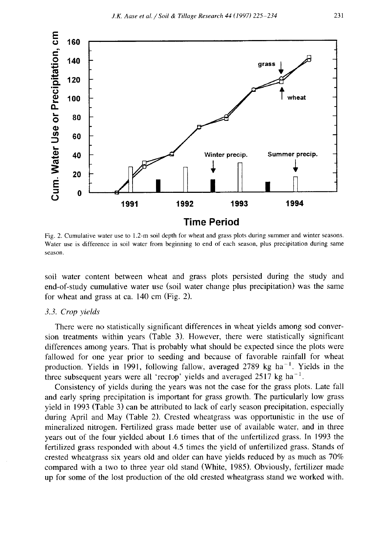

Fig. 2. Cumulative water use to 1.2-m soil depth for wheat and grass plots during summer and winter seasons. Water use is difference in soil water from beginning to end of each season, plus precipitation during same season.

soil water content between wheat and grass plots persisted during the study and end-of-study cumulative water use (soil water change plus precipitation) was the same for wheat and grass at ca. 140 cm (Fig. 2).

## *3.3. Crop yields*

There were no statistically significant differences in wheat yields among sod conversion treatments within years (Table 3). However, there were statistically significant differences among years. That is probably what should be expected since the plots were fallowed for one year prior to seeding and because of favorable rainfall for wheat production. Yields in 1991, following fallow, averaged 2789 kg ha<sup> $-1$ </sup>. Yields in the three subsequent years were all 'recrop' yields and averaged  $2517$  kg ha<sup>-1</sup>.

Consistency of yields during the years was not the case for the grass plots. Late fall and early spring precipitation is important for grass growth. The particularly low grass yield in 1993 (Table 3) can be attributed to lack of early season precipitation, especially during April and May (Table 2). Crested wheatgrass was opportunistic in the use of mineralized nitrogen. Fertilized grass made better use of available water, and in three years out of the four yielded about 1.6 times that of the unfertilized grass. In 1993 the fertilized grass responded with about 4.5 times the yield of unfertilized grass. Stands of crested wheatgrass six years old and older can have yields reduced by as much as 70% compared with a two to three year old stand (White, 1985). Obviously, fertilizer made up for some of the lost production of the old crested wheatgrass stand we worked with.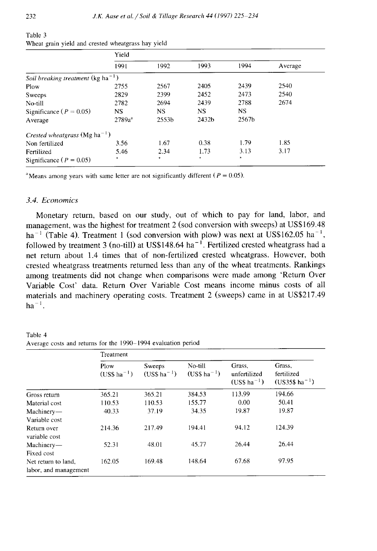|                                                | Yield     |                   |           |           |         |  |  |
|------------------------------------------------|-----------|-------------------|-----------|-----------|---------|--|--|
|                                                | 1991      | 1992              | 1993      | 1994      | Average |  |  |
| Soil breaking treatment (kg ha <sup>-1</sup> ) |           |                   |           |           |         |  |  |
| Plow                                           | 2755      | 2567              | 2405      | 2439      | 2540    |  |  |
| Sweeps                                         | 2829      | 2399              | 2452      | 2473      | 2540    |  |  |
| No-till                                        | 2782      | 2694              | 2439      | 2788      | 2674    |  |  |
| Significance ( $P = 0.05$ )                    | <b>NS</b> | <b>NS</b>         | <b>NS</b> | <b>NS</b> |         |  |  |
| Average                                        | $2789a^a$ | 2553 <sub>b</sub> | 2432b     | 2567b     |         |  |  |
| Crested wheatgrass (Mg ha <sup>-1</sup> )      |           |                   |           |           |         |  |  |
| Non fertilized                                 | 3.56      | 1.67              | 0.38      | 1.79      | 1.85    |  |  |
| Fertilized                                     | 5.46      | 2.34              | 1.73      | 3.13      | 3.17    |  |  |
| Significance ( $P = 0.05$ )                    | $\ast$    | *                 | $\ast$    | $\ast$    |         |  |  |

| lable 3                                            |  |  |  |
|----------------------------------------------------|--|--|--|
| Wheat grain yield and crested wheatgrass hay yield |  |  |  |

<sup>a</sup>Means among years with same letter are not significantly different ( $P = 0.05$ ).

## *3.4. Economics*

Monetary return, based on our study, out of which to pay for land, labor, and management, was the highest for treatment 2 (sod conversion with sweeps) at US\$169.48 ha<sup>-1</sup> (Table 4). Treatment 1 (sod conversion with plow) was next at US\$162.05 ha<sup>-1</sup>, followed by treatment 3 (no-till) at US\$148.64 ha<sup> $-1$ </sup>. Fertilized crested wheatgrass had a net return about 1.4 times that of non-fertilized crested wheatgrass. However, both crested wheatgrass treatments returned less than any of the wheat treatments. Rankings among treatments did not change when comparisons were made among 'Return Over Variable Cost' data. Return Over Variable Cost means income minus costs of all materials and machinery operating costs. Treatment 2 (sweeps) came in at US\$217.49  $ha^{-1}$ .

Table 4 Average costs and returns for the 1990-1994 evaluation period

|                                              | Treatment               |                           |                            |                                           |                                                     |  |  |  |
|----------------------------------------------|-------------------------|---------------------------|----------------------------|-------------------------------------------|-----------------------------------------------------|--|--|--|
|                                              | Plow<br>$(USS ha^{-1})$ | Sweeps<br>$(US$ ha^{-1})$ | No-till<br>$(USS ha^{-1})$ | Grass.<br>unfertilized<br>$(USS ha^{-1})$ | Grass.<br>fertilized<br>$(US35\$ ha <sup>-1</sup> ) |  |  |  |
| Gross return                                 | 365.21                  | 365.21                    | 384.53                     | 113.99                                    | 194.66                                              |  |  |  |
| Material cost                                | 110.53                  | 110.53                    | 155.77                     | 0.00                                      | 50.41                                               |  |  |  |
| Machinery-                                   | 40.33                   | 37.19                     | 34.35                      | 19.87                                     | 19.87                                               |  |  |  |
| Variable cost                                |                         |                           |                            |                                           |                                                     |  |  |  |
| Return over<br>variable cost                 | 214.36                  | 217.49                    | 194.41                     | 94.12                                     | 124.39                                              |  |  |  |
| Machinery-                                   | 52.31                   | 48.01                     | 45.77                      | 26.44                                     | 26.44                                               |  |  |  |
| Fixed cost                                   |                         |                           |                            |                                           |                                                     |  |  |  |
| Net return to land,<br>labor, and management | 162.05                  | 169.48                    | 148.64                     | 67.68                                     | 97.95                                               |  |  |  |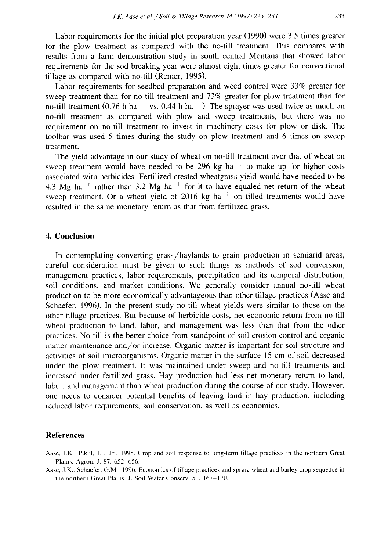Labor requirements for the initial plot preparation year (1990) were 3.5 times greater for the plow treatment as compared with the no-till treatment. This compares with results from a farm demonstration study in south central Montana that showed labor requirements for the sod breaking year were almost eight times greater for conventional tillage as compared with no-till (Remer, 1995).

Labor requirements for seedbed preparation and weed control were 33% greater for sweep treatment than for no-till treatment and 73% greater for plow treatment than for no-till treatment (0.76 h ha<sup>-1</sup> vs. 0.44 h ha<sup>-1</sup>). The sprayer was used twice as much on no-till treatment as compared with plow and sweep treatments, but there was no requirement on no-till treatment to invest in machinery costs for plow or disk. The toolbar was used 5 times during the study on plow treatment and 6 times on sweep treatment.

The yield advantage in our study of wheat on no-till treatment over that of wheat on sweep treatment would have needed to be 296 kg ha<sup> $-1$ </sup> to make up for higher costs associated with herbicides. Fertilized crested wheatgrass yield would have needed to be 4.3 Mg ha<sup> $-1$ </sup> rather than 3.2 Mg ha<sup> $-1$ </sup> for it to have equaled net return of the wheat sweep treatment. Or a wheat yield of 2016 kg ha<sup> $-1$ </sup> on tilled treatments would have resulted in the same monetary return as that from fertilized grass.

# **4. Conclusion**

In contemplating converting grass/haylands to grain production in semiarid areas, careful consideration must be given to such things as methods of sod conversion, management practices, labor requirements, precipitation and its temporal distribution, soil conditions, and market conditions. We generally consider annual no-till wheat production to be more economically advantageous than other tillage practices (Aase and Schaefer, 1996). In the present study no-till wheat yields were similar to those on the other tillage practices. But because of herbicide costs, net economic return from no-till wheat production to land, labor, and management was less than that from the other practices. No-till is the better choice from standpoint of soil erosion control and organic matter maintenance and/or increase. Organic matter is important for soil structure and activities of soil microorganisms. Organic matter in the surface 15 cm of soil decreased under the plow treatment. It was maintained under sweep and no-till treatments and increased under fertilized grass. Hay production had less net monetary return to land, labor, and management than wheat production during the course of our study. However, one needs to consider potential benefits of leaving land in hay production, including reduced labor requirements, soil conservation, as well as economics.

#### **References**

Aase, J.K.. Pikul, J.L. Jr., 1995. Crop and soil response to long-term tillage practices in the northern Great Plains. Agron. J. 87, 652-656.

Aase, J.K., Schaefer, G.M., 1996. Economics of tillage practices and spring wheat and barley crop sequence in the northern Great Plains. *J.* Soil Water Conserv. 51, 167-170.